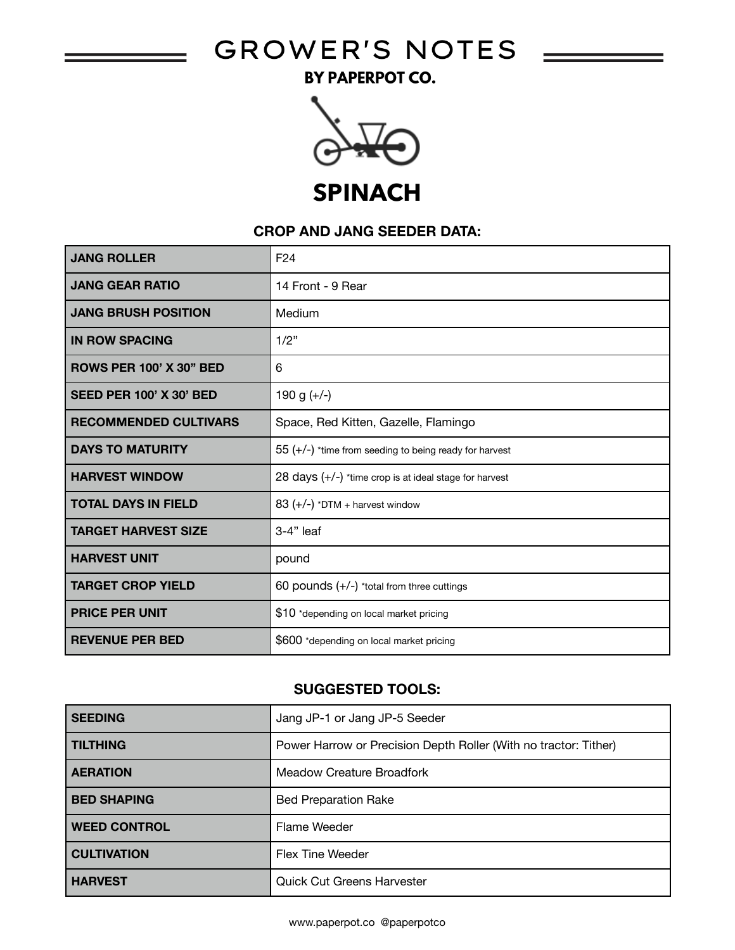# GROWER'S NOTES =

**BY PAPERPOT CO.** 



# **CROP AND JANG SEEDER DATA:**

| <b>JANG ROLLER</b>             | F <sub>24</sub>                                          |
|--------------------------------|----------------------------------------------------------|
| <b>JANG GEAR RATIO</b>         | 14 Front - 9 Rear                                        |
| <b>JANG BRUSH POSITION</b>     | Medium                                                   |
| <b>IN ROW SPACING</b>          | 1/2"                                                     |
| <b>ROWS PER 100' X 30" BED</b> | 6                                                        |
| <b>SEED PER 100' X 30' BED</b> | 190 g $(+/-)$                                            |
| <b>RECOMMENDED CULTIVARS</b>   | Space, Red Kitten, Gazelle, Flamingo                     |
| <b>DAYS TO MATURITY</b>        | 55 $(+/-)$ *time from seeding to being ready for harvest |
| <b>HARVEST WINDOW</b>          | 28 days $(+/-)$ *time crop is at ideal stage for harvest |
| <b>TOTAL DAYS IN FIELD</b>     | 83 $(+/-)$ *DTM + harvest window                         |
| <b>TARGET HARVEST SIZE</b>     | $3-4"$ leaf                                              |
| <b>HARVEST UNIT</b>            | pound                                                    |
| <b>TARGET CROP YIELD</b>       | 60 pounds $(+/-)$ *total from three cuttings             |
| <b>PRICE PER UNIT</b>          | \$10 *depending on local market pricing                  |
| <b>REVENUE PER BED</b>         | \$600 *depending on local market pricing                 |

# **SUGGESTED TOOLS:**

| <b>SEEDING</b>      | Jang JP-1 or Jang JP-5 Seeder                                    |
|---------------------|------------------------------------------------------------------|
| <b>TILTHING</b>     | Power Harrow or Precision Depth Roller (With no tractor: Tither) |
| <b>AERATION</b>     | Meadow Creature Broadfork                                        |
| <b>BED SHAPING</b>  | <b>Bed Preparation Rake</b>                                      |
| <b>WEED CONTROL</b> | Flame Weeder                                                     |
| <b>CULTIVATION</b>  | <b>Flex Tine Weeder</b>                                          |
| <b>HARVEST</b>      | <b>Quick Cut Greens Harvester</b>                                |